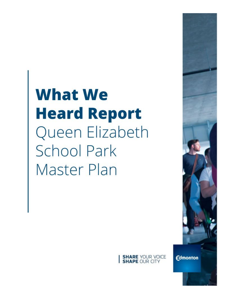# **What We Heard Report** Queen Elizabeth **School Park Master Plan**



**Edmonton**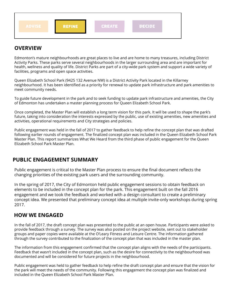

#### **OVERVIEW**

Edmonton's mature neighbourhoods are great places to live and are home to many treasures, including District Activity Parks. These parks serve several neighbourhoods in the larger surrounding area and are important for health, wellness and quality of life. District Parks are part of a city-wide park system and support a wide variety of facilities, programs and open space activities.

Queen Elizabeth School Park (9425 132 Avenue NW) is a District Activity Park located in the Killarney neighbourhood. It has been identified as a priority for renewal to update park infrastructure and park amenities to meet community needs.

To guide future development in the park and to seek funding to update park infrastructure and amenities, the City of Edmonton has undertaken a master planning process for Queen Elizabeth School Park.

Once completed, the Master Plan will establish a long term vision for this park. It will be used to shape the park's future, taking into consideration the interests expressed by the public, use of existing amenities, new amenities and activities, operational requirements and City strategies and policies.

Public engagement was held in the fall of 2017 to gather feedback to help refine the concept plan that was drafted following earlier rounds of engagement. The finalized concept plan was included in the Queen Elizabeth School Park Master Plan. This report summarizes What We Heard from the third phase of public engagement for the Queen Elizabeth School Park Master Plan.

## **PUBLIC ENGAGEMENT SUMMARY**

Public engagement is critical to the Master Plan process to ensure the final document reflects the changing priorities of the existing park users and the surrounding community.

In the spring of 2017, the City of Edmonton held public engagement sessions to obtain feedback on elements to be included in the concept plan for the park. This engagement built on the fall 2016 engagement and we took the feedback and worked with a design consultant to create a preliminary concept idea. We presented that preliminary concept idea at multiple invite-only workshops during spring 2017.

#### **HOW WE ENGAGED**

In the fall of 2017, the draft concept plan was presented to the public at an open house. Participants were asked to provide feedback through a survey. The survey was also posted on the project website, sent out to stakeholder groups and paper copies were available at the O'Leary Fitness and Leisure Centre. The information gathered through the survey contributed to the finalization of the concept plan that was included in the master plan.

The information from this engagement confirmed that the concept plan aligns with the needs of the participants. Feedback that wasn't included in the concept plan, such as the desire for connectivity to the neighbourhood was documented and will be considered for future projects in the neighbourhood.

Public engagement was held to gather feedback to help refine the draft concept plan and ensure that the vision for the park will meet the needs of the community. Following this engagement the concept plan was finalized and included in the Queen Elizabeth School Park Master Plan.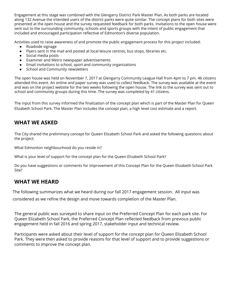Engagement at this stage was combined with the Glengarry District Park Master Plan. As both parks are located along 132 Avenue the intended users of the district parks were quite similar. The concept plans for both sites were presented at the open house and the survey requested feedback for both parks. Invitations to the open house were sent out to the surrounding community, schools and sports groups with the intent of public engagement that included and encouraged participation reflective of Edmonton's diverse population.

Activities used to raise awareness of and promote the public engagement process for this project included:

- Roadside signage
- Flyers sent in the mail and posted at local leisure centres, bus stops, libraries etc.
- Social media posts
- Examiner and Metro newspaper advertisements
- Email invitations to school, sport and community organizations
- School and Community newsletters

The open house was held on November 7, 2017 at Glengarry Community League Hall from 4pm to 7 pm. 46 citizens attended this event. An online and paper survey was used to collect feedback. The survey was available at the event and was on the project website for the two weeks following the open house. The link to the survey was sent out to school and community groups during this time. The survey was completed by 41 citizens.

The input from this survey informed the finalization of the concept plan which is part of the Master Plan for Queen Elizabeth School Park. The Master Plan includes the concept plan, a high level cost estimate and a report.

# **WHAT WE ASKED**

The City shared the preliminary concept for Queen Elizabeth School Park and asked the following questions about the project:

What Edmonton neighbourhood do you reside in?

What is your level of support for the concept plan for the Queen Elizabeth School Park?

Do you have suggestions or comments for improvement of this Concept Plan for the Queen Elizabeth School Park Site?

## **WHAT WE HEARD**

The following summarizes what we heard during our fall 2017 engagement session. All input was

considered as we refine the design and move towards completion of the Master Plan.

The general public was surveyed to share input on the Preferred Concept Plan for each park site. For Queen Elizabeth School Park, the Preferred Concept Plan reflected feedback from previous public engagement held in fall 2016 and spring 2017, stakeholder input and technical review.

Participants were asked about their level of support for the concept plan for Queen Elizabeth School Park. They were then asked to provide reasons for that level of support and to provide suggestions or comments to improve the concept plan.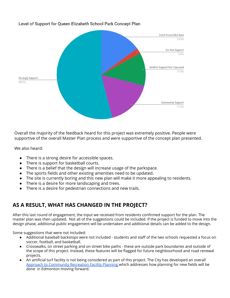#### Level of Support for Queen Elizabeth School Park Concept Plan



Overall the majority of the feedback heard for this project was extremely positive. People were supportive of the overall Master Plan process and were supportive of the concept plan presented.

We also heard:

- **●** There is a strong desire for accessible spaces.
- **●** There is support for basketball courts.
- **●** There is a belief that the design will increase usage of the parkspace.
- **●** The sports fields and other existing amenities need to be updated.
- **●** The site is currently boring and this new plan will make it more appealing to residents.
- **●** There is a desire for more landscaping and trees.
- There is a desire for pedestrian connections and new trails.

## **AS A RESULT, WHAT HAS CHANGED IN THE PROJECT?**

After this last round of engagement, the input we received from residents confirmed support for the plan. The master plan was then updated. Not all of the suggestions could be included. If the project is funded to move into the design phase, additional public engagement will be undertaken and additional details can be added to the design.

Some suggestions that were not included:

- Additional baseball backstops were not included students and staff of the two schools requested a focus on soccer, football, and basketball.
- Crosswalks, on street parking and on street bike paths these are outside park boundaries and outside of the scope of this project. Instead, these features will be flagged for future neighbourhood and road renewal projects.
- An artificial turf facility is not being considered as part of this project. The City has developed an overall Approach to [Community](https://www.edmonton.ca/documents/Approach_to_Community_Recreation_Facility_Planning_in_Edmonton-October_2018.pdf) Recreation Facility Planning which addresses how planning for new fields will be done in Edmonton moving forward.